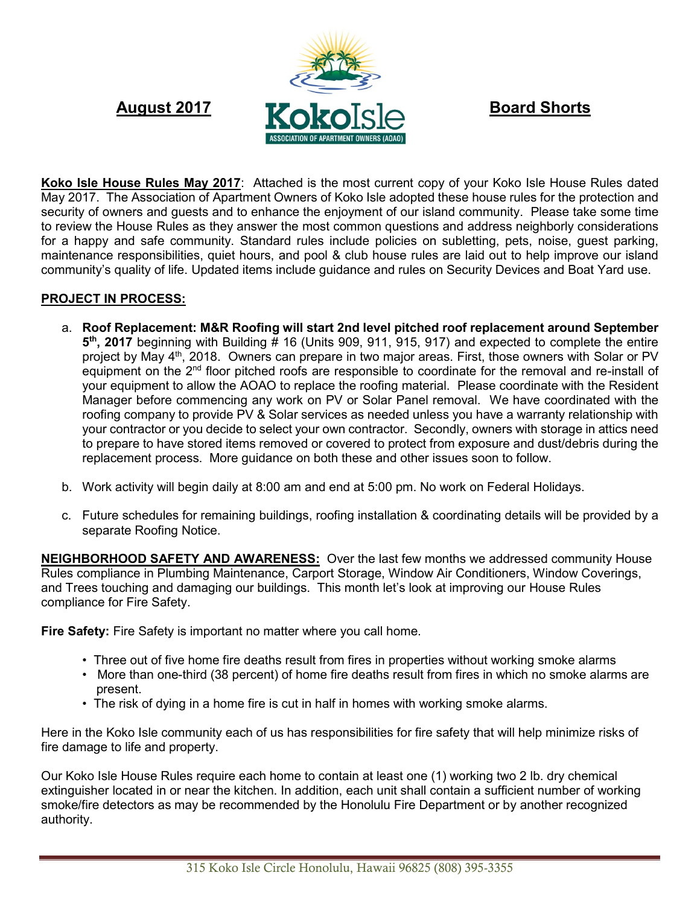

**Koko Isle House Rules May 2017**: Attached is the most current copy of your Koko Isle House Rules dated May 2017. The Association of Apartment Owners of Koko Isle adopted these house rules for the protection and security of owners and guests and to enhance the enjoyment of our island community. Please take some time to review the House Rules as they answer the most common questions and address neighborly considerations for a happy and safe community. Standard rules include policies on subletting, pets, noise, guest parking, maintenance responsibilities, quiet hours, and pool & club house rules are laid out to help improve our island community's quality of life. Updated items include guidance and rules on Security Devices and Boat Yard use.

## **PROJECT IN PROCESS:**

- a. **Roof Replacement: M&R Roofing will start 2nd level pitched roof replacement around September 5 th , 2017** beginning with Building # 16 (Units 909, 911, 915, 917) and expected to complete the entire project by May 4th, 2018. Owners can prepare in two major areas. First, those owners with Solar or PV equipment on the 2nd floor pitched roofs are responsible to coordinate for the removal and re-install of your equipment to allow the AOAO to replace the roofing material. Please coordinate with the Resident Manager before commencing any work on PV or Solar Panel removal. We have coordinated with the roofing company to provide PV & Solar services as needed unless you have a warranty relationship with your contractor or you decide to select your own contractor. Secondly, owners with storage in attics need to prepare to have stored items removed or covered to protect from exposure and dust/debris during the replacement process. More guidance on both these and other issues soon to follow.
- b. Work activity will begin daily at 8:00 am and end at 5:00 pm. No work on Federal Holidays.
- c. Future schedules for remaining buildings, roofing installation & coordinating details will be provided by a separate Roofing Notice.

**NEIGHBORHOOD SAFETY AND AWARENESS:** Over the last few months we addressed community House Rules compliance in Plumbing Maintenance, Carport Storage, Window Air Conditioners, Window Coverings, and Trees touching and damaging our buildings. This month let's look at improving our House Rules compliance for Fire Safety.

**Fire Safety:** Fire Safety is important no matter where you call home.

- Three out of five home fire deaths result from fires in properties without working smoke alarms
- More than one-third (38 percent) of home fire deaths result from fires in which no smoke alarms are present.
- The risk of dying in a home fire is cut in half in homes with working smoke alarms.

Here in the Koko Isle community each of us has responsibilities for fire safety that will help minimize risks of fire damage to life and property.

Our Koko Isle House Rules require each home to contain at least one (1) working two 2 lb. dry chemical extinguisher located in or near the kitchen. In addition, each unit shall contain a sufficient number of working smoke/fire detectors as may be recommended by the Honolulu Fire Department or by another recognized authority.